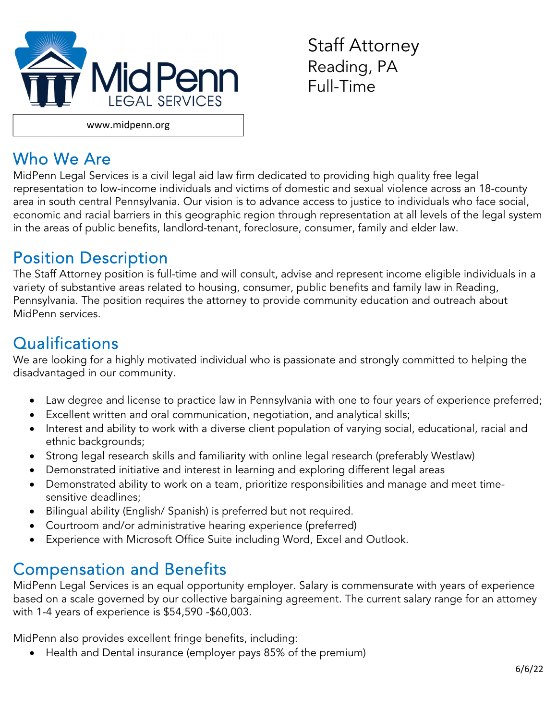

Staff Attorney Reading, PA Full-Time

## Who We Are

MidPenn Legal Services is a civil legal aid law firm dedicated to providing high quality free legal representation to low-income individuals and victims of domestic and sexual violence across an 18-county area in south central Pennsylvania. Our vision is to advance access to justice to individuals who face social, economic and racial barriers in this geographic region through representation at all levels of the legal system in the areas of public benefits, landlord-tenant, foreclosure, consumer, family and elder law.

## Position Description

The Staff Attorney position is full-time and will consult, advise and represent income eligible individuals in a variety of substantive areas related to housing, consumer, public benefits and family law in Reading, Pennsylvania. The position requires the attorney to provide community education and outreach about MidPenn services.

# **Qualifications**

We are looking for a highly motivated individual who is passionate and strongly committed to helping the disadvantaged in our community.

- Law degree and license to practice law in Pennsylvania with one to four years of experience preferred;
- Excellent written and oral communication, negotiation, and analytical skills;
- Interest and ability to work with a diverse client population of varying social, educational, racial and ethnic backgrounds;
- Strong legal research skills and familiarity with online legal research (preferably Westlaw)
- Demonstrated initiative and interest in learning and exploring different legal areas
- Demonstrated ability to work on a team, prioritize responsibilities and manage and meet timesensitive deadlines;
- Bilingual ability (English/ Spanish) is preferred but not required.
- Courtroom and/or administrative hearing experience (preferred)
- Experience with Microsoft Office Suite including Word, Excel and Outlook.

# Compensation and Benefits

MidPenn Legal Services is an equal opportunity employer. Salary is commensurate with years of experience based on a scale governed by our collective bargaining agreement. The current salary range for an attorney with 1-4 years of experience is \$54,590 -\$60,003.

MidPenn also provides excellent fringe benefits, including:

Health and Dental insurance (employer pays 85% of the premium)